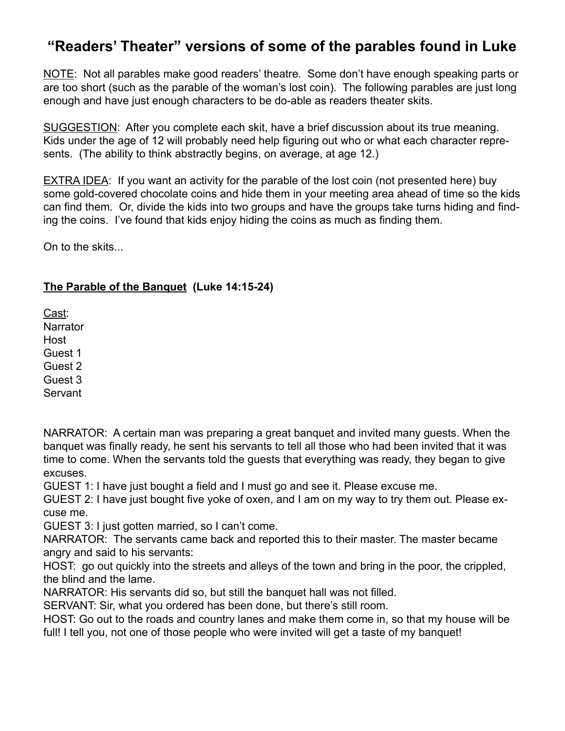# **"Readers' Theater" versions of some of the parables found in Luke**

NOTE: Not all parables make good readers' theatre. Some don't have enough speaking parts or are too short (such as the parable of the woman's lost coin). The following parables are just long enough and have just enough characters to be do-able as readers theater skits.

SUGGESTION: After you complete each skit, have a brief discussion about its true meaning. Kids under the age of 12 will probably need help figuring out who or what each character represents. (The ability to think abstractly begins, on average, at age 12.)

EXTRA IDEA: If you want an activity for the parable of the lost coin (not presented here) buy some gold-covered chocolate coins and hide them in your meeting area ahead of time so the kids can find them. Or, divide the kids into two groups and have the groups take turns hiding and finding the coins. I've found that kids enjoy hiding the coins as much as finding them.

On to the skits...

### **The Parable of the Banquet (Luke 14:15-24)**

Cast: **Narrator** Host Guest 1 Guest 2 Guest 3

Servant

NARRATOR: A certain man was preparing a great banquet and invited many guests. When the banquet was finally ready, he sent his servants to tell all those who had been invited that it was time to come. When the servants told the guests that everything was ready, they began to give excuses.

GUEST 1: I have just bought a field and I must go and see it. Please excuse me.

GUEST 2: I have just bought five yoke of oxen, and I am on my way to try them out. Please excuse me.

GUEST 3: I just gotten married, so I can't come.

NARRATOR: The servants came back and reported this to their master. The master became angry and said to his servants:

HOST: go out quickly into the streets and alleys of the town and bring in the poor, the crippled, the blind and the lame.

NARRATOR: His servants did so, but still the banquet hall was not filled.

SERVANT: Sir, what you ordered has been done, but there's still room.

HOST: Go out to the roads and country lanes and make them come in, so that my house will be full! I tell you, not one of those people who were invited will get a taste of my banquet!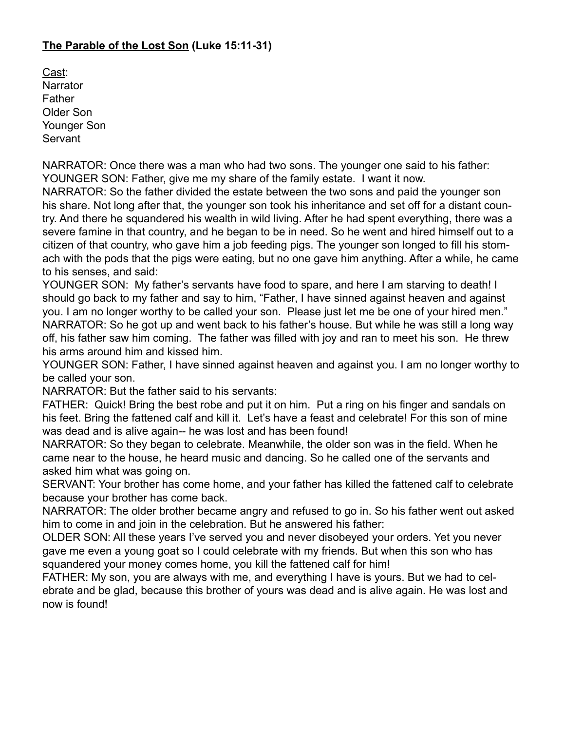#### **The Parable of the Lost Son (Luke 15:11-31)**

Cast: **Narrator** Father Older Son Younger Son Servant

NARRATOR: Once there was a man who had two sons. The younger one said to his father: YOUNGER SON: Father, give me my share of the family estate. I want it now. NARRATOR: So the father divided the estate between the two sons and paid the younger son his share. Not long after that, the younger son took his inheritance and set off for a distant country. And there he squandered his wealth in wild living. After he had spent everything, there was a severe famine in that country, and he began to be in need. So he went and hired himself out to a citizen of that country, who gave him a job feeding pigs. The younger son longed to fill his stomach with the pods that the pigs were eating, but no one gave him anything. After a while, he came to his senses, and said:

YOUNGER SON: My father's servants have food to spare, and here I am starving to death! I should go back to my father and say to him, "Father, I have sinned against heaven and against you. I am no longer worthy to be called your son. Please just let me be one of your hired men." NARRATOR: So he got up and went back to his father's house. But while he was still a long way off, his father saw him coming. The father was filled with joy and ran to meet his son. He threw his arms around him and kissed him.

YOUNGER SON: Father, I have sinned against heaven and against you. I am no longer worthy to be called your son.

NARRATOR: But the father said to his servants:

FATHER: Quick! Bring the best robe and put it on him. Put a ring on his finger and sandals on his feet. Bring the fattened calf and kill it. Let's have a feast and celebrate! For this son of mine was dead and is alive again-- he was lost and has been found!

NARRATOR: So they began to celebrate. Meanwhile, the older son was in the field. When he came near to the house, he heard music and dancing. So he called one of the servants and asked him what was going on.

SERVANT: Your brother has come home, and your father has killed the fattened calf to celebrate because your brother has come back.

NARRATOR: The older brother became angry and refused to go in. So his father went out asked him to come in and join in the celebration. But he answered his father:

OLDER SON: All these years I've served you and never disobeyed your orders. Yet you never gave me even a young goat so I could celebrate with my friends. But when this son who has squandered your money comes home, you kill the fattened calf for him!

FATHER: My son, you are always with me, and everything I have is yours. But we had to celebrate and be glad, because this brother of yours was dead and is alive again. He was lost and now is found!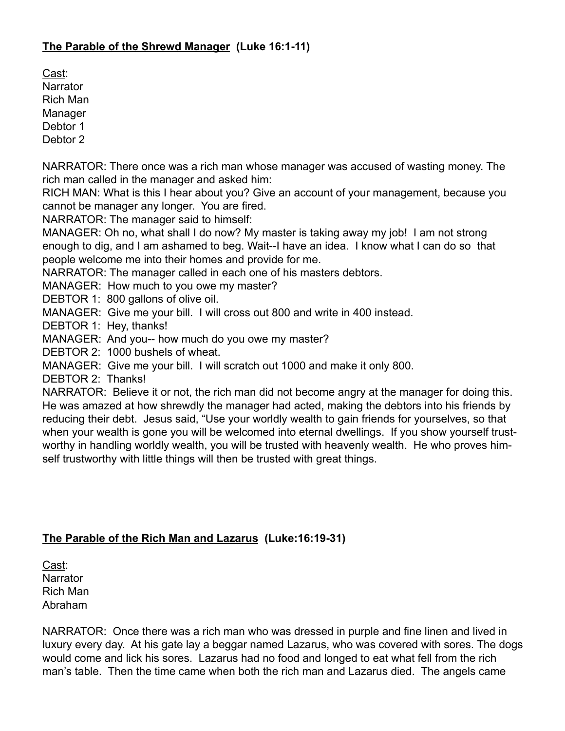#### **The Parable of the Shrewd Manager (Luke 16:1-11)**

Cast: **Narrator** Rich Man **Manager** Debtor 1

Debtor 2

NARRATOR: There once was a rich man whose manager was accused of wasting money. The rich man called in the manager and asked him:

RICH MAN: What is this I hear about you? Give an account of your management, because you cannot be manager any longer. You are fired.

NARRATOR: The manager said to himself:

MANAGER: Oh no, what shall I do now? My master is taking away my job! I am not strong enough to dig, and I am ashamed to beg. Wait--I have an idea. I know what I can do so that people welcome me into their homes and provide for me.

NARRATOR: The manager called in each one of his masters debtors.

MANAGER: How much to you owe my master?

DEBTOR 1: 800 gallons of olive oil.

MANAGER: Give me your bill. I will cross out 800 and write in 400 instead.

DEBTOR 1: Hey, thanks!

MANAGER: And you-- how much do you owe my master?

DEBTOR 2: 1000 bushels of wheat.

MANAGER: Give me your bill. I will scratch out 1000 and make it only 800.

DEBTOR 2: Thanks!

NARRATOR: Believe it or not, the rich man did not become angry at the manager for doing this. He was amazed at how shrewdly the manager had acted, making the debtors into his friends by reducing their debt. Jesus said, "Use your worldly wealth to gain friends for yourselves, so that when your wealth is gone you will be welcomed into eternal dwellings. If you show yourself trustworthy in handling worldly wealth, you will be trusted with heavenly wealth. He who proves himself trustworthy with little things will then be trusted with great things.

#### **The Parable of the Rich Man and Lazarus (Luke:16:19-31)**

Cast: **Narrator** Rich Man Abraham

NARRATOR: Once there was a rich man who was dressed in purple and fine linen and lived in luxury every day. At his gate lay a beggar named Lazarus, who was covered with sores. The dogs would come and lick his sores. Lazarus had no food and longed to eat what fell from the rich man's table. Then the time came when both the rich man and Lazarus died. The angels came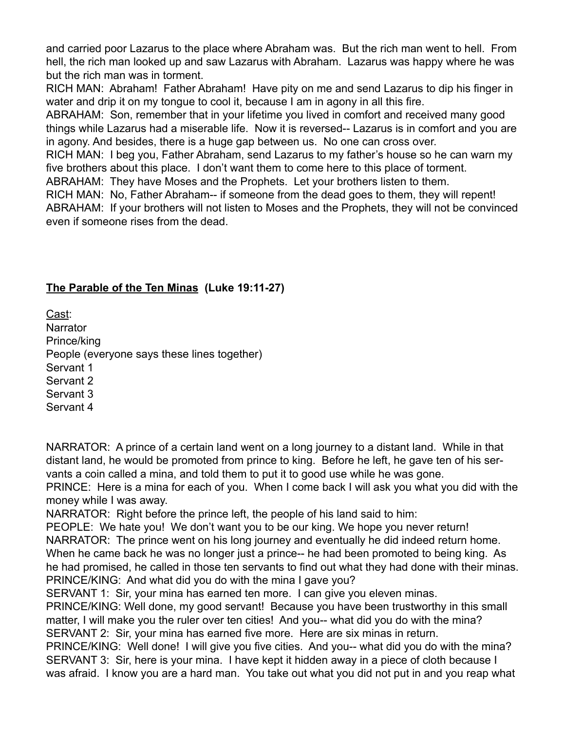and carried poor Lazarus to the place where Abraham was. But the rich man went to hell. From hell, the rich man looked up and saw Lazarus with Abraham. Lazarus was happy where he was but the rich man was in torment.

RICH MAN: Abraham! Father Abraham! Have pity on me and send Lazarus to dip his finger in water and drip it on my tongue to cool it, because I am in agony in all this fire.

ABRAHAM: Son, remember that in your lifetime you lived in comfort and received many good things while Lazarus had a miserable life. Now it is reversed-- Lazarus is in comfort and you are in agony. And besides, there is a huge gap between us. No one can cross over.

RICH MAN: I beg you, Father Abraham, send Lazarus to my father's house so he can warn my five brothers about this place. I don't want them to come here to this place of torment.

ABRAHAM: They have Moses and the Prophets. Let your brothers listen to them.

RICH MAN: No, Father Abraham-- if someone from the dead goes to them, they will repent! ABRAHAM: If your brothers will not listen to Moses and the Prophets, they will not be convinced even if someone rises from the dead.

# **The Parable of the Ten Minas (Luke 19:11-27)**

Cast: **Narrator** Prince/king People (everyone says these lines together) Servant 1 Servant 2 Servant 3 Servant 4

NARRATOR: A prince of a certain land went on a long journey to a distant land. While in that distant land, he would be promoted from prince to king. Before he left, he gave ten of his servants a coin called a mina, and told them to put it to good use while he was gone.

PRINCE: Here is a mina for each of you. When I come back I will ask you what you did with the money while I was away.

NARRATOR: Right before the prince left, the people of his land said to him:

PEOPLE: We hate you! We don't want you to be our king. We hope you never return! NARRATOR: The prince went on his long journey and eventually he did indeed return home. When he came back he was no longer just a prince-- he had been promoted to being king. As he had promised, he called in those ten servants to find out what they had done with their minas. PRINCE/KING: And what did you do with the mina I gave you?

SERVANT 1: Sir, your mina has earned ten more. I can give you eleven minas.

PRINCE/KING: Well done, my good servant! Because you have been trustworthy in this small matter, I will make you the ruler over ten cities! And you-- what did you do with the mina? SERVANT 2: Sir, your mina has earned five more. Here are six minas in return.

PRINCE/KING: Well done! I will give you five cities. And you-- what did you do with the mina? SERVANT 3: Sir, here is your mina. I have kept it hidden away in a piece of cloth because I was afraid. I know you are a hard man. You take out what you did not put in and you reap what